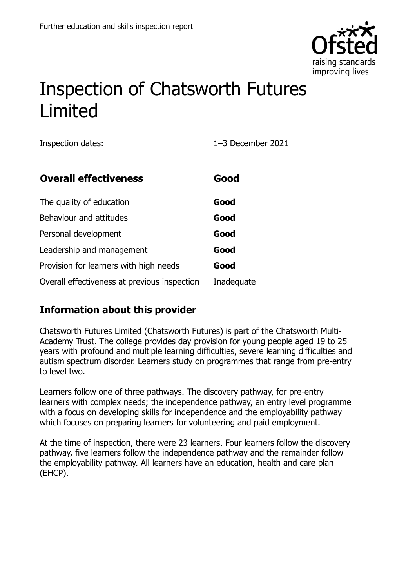

# Inspection of Chatsworth Futures Limited

Inspection dates: 1–3 December 2021

| <b>Overall effectiveness</b>                 | Good       |
|----------------------------------------------|------------|
| The quality of education                     | Good       |
| Behaviour and attitudes                      | Good       |
| Personal development                         | Good       |
| Leadership and management                    | Good       |
| Provision for learners with high needs       | Good       |
| Overall effectiveness at previous inspection | Inadequate |

### **Information about this provider**

Chatsworth Futures Limited (Chatsworth Futures) is part of the Chatsworth Multi-Academy Trust. The college provides day provision for young people aged 19 to 25 years with profound and multiple learning difficulties, severe learning difficulties and autism spectrum disorder. Learners study on programmes that range from pre-entry to level two.

Learners follow one of three pathways. The discovery pathway, for pre-entry learners with complex needs; the independence pathway, an entry level programme with a focus on developing skills for independence and the employability pathway which focuses on preparing learners for volunteering and paid employment.

At the time of inspection, there were 23 learners. Four learners follow the discovery pathway, five learners follow the independence pathway and the remainder follow the employability pathway. All learners have an education, health and care plan (EHCP).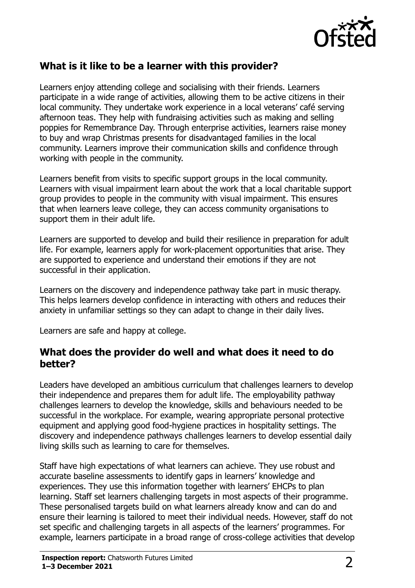

#### **What is it like to be a learner with this provider?**

Learners enjoy attending college and socialising with their friends. Learners participate in a wide range of activities, allowing them to be active citizens in their local community. They undertake work experience in a local veterans' café serving afternoon teas. They help with fundraising activities such as making and selling poppies for Remembrance Day. Through enterprise activities, learners raise money to buy and wrap Christmas presents for disadvantaged families in the local community. Learners improve their communication skills and confidence through working with people in the community.

Learners benefit from visits to specific support groups in the local community. Learners with visual impairment learn about the work that a local charitable support group provides to people in the community with visual impairment. This ensures that when learners leave college, they can access community organisations to support them in their adult life.

Learners are supported to develop and build their resilience in preparation for adult life. For example, learners apply for work-placement opportunities that arise. They are supported to experience and understand their emotions if they are not successful in their application.

Learners on the discovery and independence pathway take part in music therapy. This helps learners develop confidence in interacting with others and reduces their anxiety in unfamiliar settings so they can adapt to change in their daily lives.

Learners are safe and happy at college.

#### **What does the provider do well and what does it need to do better?**

Leaders have developed an ambitious curriculum that challenges learners to develop their independence and prepares them for adult life. The employability pathway challenges learners to develop the knowledge, skills and behaviours needed to be successful in the workplace. For example, wearing appropriate personal protective equipment and applying good food-hygiene practices in hospitality settings. The discovery and independence pathways challenges learners to develop essential daily living skills such as learning to care for themselves.

Staff have high expectations of what learners can achieve. They use robust and accurate baseline assessments to identify gaps in learners' knowledge and experiences. They use this information together with learners' EHCPs to plan learning. Staff set learners challenging targets in most aspects of their programme. These personalised targets build on what learners already know and can do and ensure their learning is tailored to meet their individual needs. However, staff do not set specific and challenging targets in all aspects of the learners' programmes. For example, learners participate in a broad range of cross-college activities that develop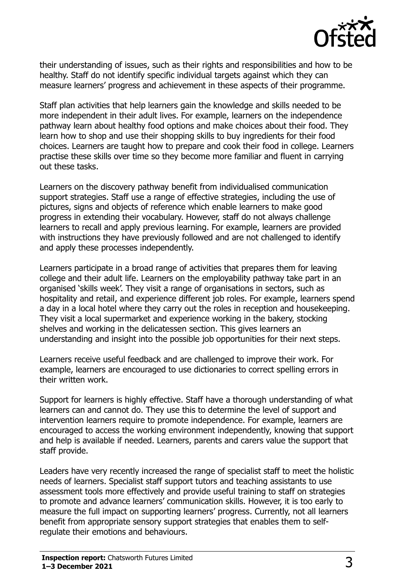

their understanding of issues, such as their rights and responsibilities and how to be healthy. Staff do not identify specific individual targets against which they can measure learners' progress and achievement in these aspects of their programme.

Staff plan activities that help learners gain the knowledge and skills needed to be more independent in their adult lives. For example, learners on the independence pathway learn about healthy food options and make choices about their food. They learn how to shop and use their shopping skills to buy ingredients for their food choices. Learners are taught how to prepare and cook their food in college. Learners practise these skills over time so they become more familiar and fluent in carrying out these tasks.

Learners on the discovery pathway benefit from individualised communication support strategies. Staff use a range of effective strategies, including the use of pictures, signs and objects of reference which enable learners to make good progress in extending their vocabulary. However, staff do not always challenge learners to recall and apply previous learning. For example, learners are provided with instructions they have previously followed and are not challenged to identify and apply these processes independently.

Learners participate in a broad range of activities that prepares them for leaving college and their adult life. Learners on the employability pathway take part in an organised 'skills week'. They visit a range of organisations in sectors, such as hospitality and retail, and experience different job roles. For example, learners spend a day in a local hotel where they carry out the roles in reception and housekeeping. They visit a local supermarket and experience working in the bakery, stocking shelves and working in the delicatessen section. This gives learners an understanding and insight into the possible job opportunities for their next steps.

Learners receive useful feedback and are challenged to improve their work. For example, learners are encouraged to use dictionaries to correct spelling errors in their written work.

Support for learners is highly effective. Staff have a thorough understanding of what learners can and cannot do. They use this to determine the level of support and intervention learners require to promote independence. For example, learners are encouraged to access the working environment independently, knowing that support and help is available if needed. Learners, parents and carers value the support that staff provide.

Leaders have very recently increased the range of specialist staff to meet the holistic needs of learners. Specialist staff support tutors and teaching assistants to use assessment tools more effectively and provide useful training to staff on strategies to promote and advance learners' communication skills. However, it is too early to measure the full impact on supporting learners' progress. Currently, not all learners benefit from appropriate sensory support strategies that enables them to selfregulate their emotions and behaviours.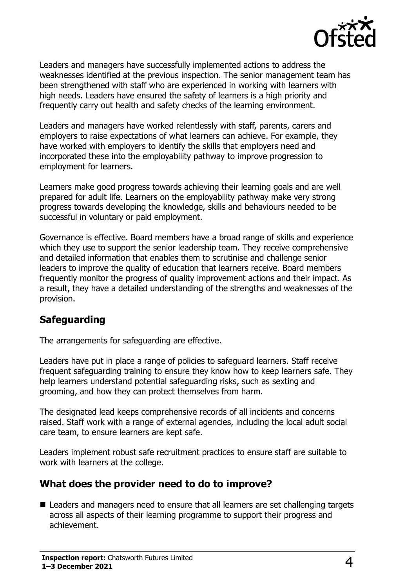

Leaders and managers have successfully implemented actions to address the weaknesses identified at the previous inspection. The senior management team has been strengthened with staff who are experienced in working with learners with high needs. Leaders have ensured the safety of learners is a high priority and frequently carry out health and safety checks of the learning environment.

Leaders and managers have worked relentlessly with staff, parents, carers and employers to raise expectations of what learners can achieve. For example, they have worked with employers to identify the skills that employers need and incorporated these into the employability pathway to improve progression to employment for learners.

Learners make good progress towards achieving their learning goals and are well prepared for adult life. Learners on the employability pathway make very strong progress towards developing the knowledge, skills and behaviours needed to be successful in voluntary or paid employment.

Governance is effective. Board members have a broad range of skills and experience which they use to support the senior leadership team. They receive comprehensive and detailed information that enables them to scrutinise and challenge senior leaders to improve the quality of education that learners receive. Board members frequently monitor the progress of quality improvement actions and their impact. As a result, they have a detailed understanding of the strengths and weaknesses of the provision.

### **Safeguarding**

The arrangements for safeguarding are effective.

Leaders have put in place a range of policies to safeguard learners. Staff receive frequent safeguarding training to ensure they know how to keep learners safe. They help learners understand potential safeguarding risks, such as sexting and grooming, and how they can protect themselves from harm.

The designated lead keeps comprehensive records of all incidents and concerns raised. Staff work with a range of external agencies, including the local adult social care team, to ensure learners are kept safe.

Leaders implement robust safe recruitment practices to ensure staff are suitable to work with learners at the college.

#### **What does the provider need to do to improve?**

■ Leaders and managers need to ensure that all learners are set challenging targets across all aspects of their learning programme to support their progress and achievement.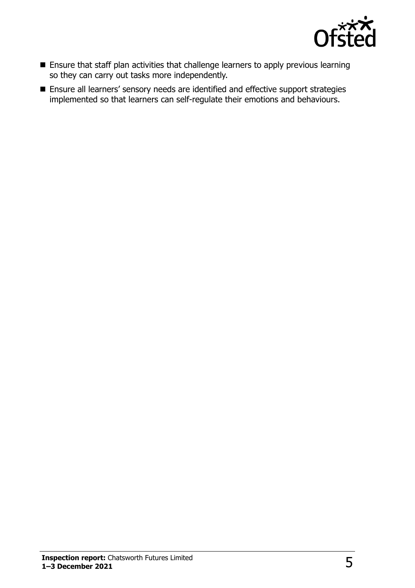

- Ensure that staff plan activities that challenge learners to apply previous learning so they can carry out tasks more independently.
- Ensure all learners' sensory needs are identified and effective support strategies implemented so that learners can self-regulate their emotions and behaviours.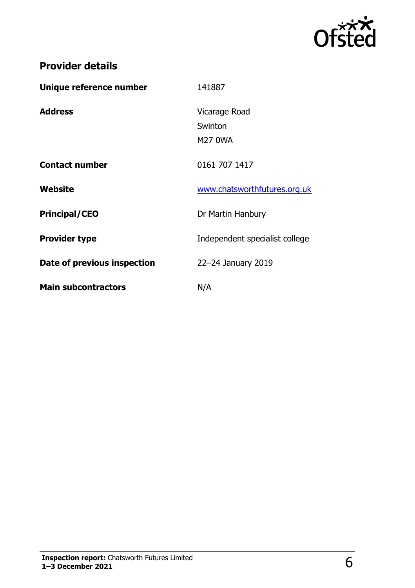

## **Provider details**

| Unique reference number     | 141887                                     |
|-----------------------------|--------------------------------------------|
| <b>Address</b>              | Vicarage Road<br>Swinton<br><b>M27 0WA</b> |
| <b>Contact number</b>       | 0161 707 1417                              |
| Website                     | www.chatsworthfutures.org.uk               |
| <b>Principal/CEO</b>        | Dr Martin Hanbury                          |
| <b>Provider type</b>        | Independent specialist college             |
| Date of previous inspection | 22-24 January 2019                         |
| <b>Main subcontractors</b>  | N/A                                        |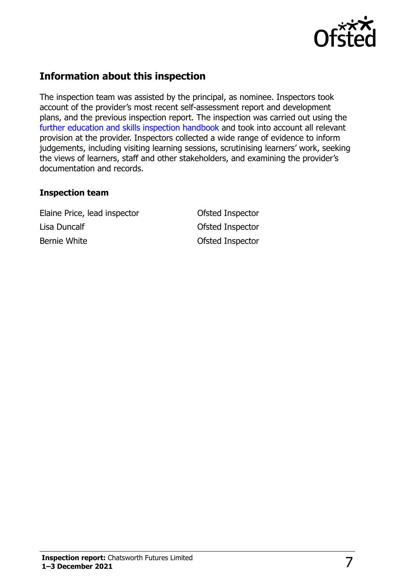

### **Information about this inspection**

The inspection team was assisted by the principal, as nominee. Inspectors took account of the provider's most recent self-assessment report and development plans, and the previous inspection report. The inspection was carried out using the [further education and skills inspection handbook](http://www.gov.uk/government/publications/further-education-and-skills-inspection-handbook-eif) and took into account all relevant provision at the provider. Inspectors collected a wide range of evidence to inform judgements, including visiting learning sessions, scrutinising learners' work, seeking the views of learners, staff and other stakeholders, and examining the provider's documentation and records.

#### **Inspection team**

Elaine Price, lead inspector Ofsted Inspector Lisa Duncalf **Contract Contract Contract Contract Contract Contract Contract Contract Contract Contract Contract Contract Contract Contract Contract Contract Contract Contract Contract Contract Contract Contract Contract C** Bernie White **Calculation** Ofsted Inspector